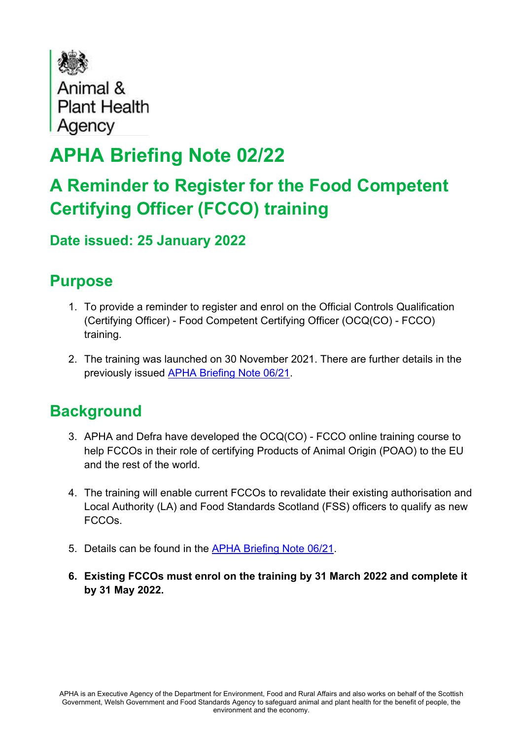

# **APHA Briefing Note 02/22**

## **A Reminder to Register for the Food Competent Certifying Officer (FCCO) training**

#### **Date issued: 25 January 2022**

### **Purpose**

- 1. To provide a reminder to register and enrol on the Official Controls Qualification (Certifying Officer) - Food Competent Certifying Officer (OCQ(CO) - FCCO) training.
- 2. The training was launched on 30 November 2021. There are further details in the previously issued [APHA Briefing Note 06/21.](http://apha.defra.gov.uk/documents/fcco/Briefing-Note-0621.pdf)

### **Background**

- 3. APHA and Defra have developed the OCQ(CO) FCCO online training course to help FCCOs in their role of certifying Products of Animal Origin (POAO) to the EU and the rest of the world.
- 4. The training will enable current FCCOs to revalidate their existing authorisation and Local Authority (LA) and Food Standards Scotland (FSS) officers to qualify as new FCCOs.
- 5. Details can be found in the [APHA Briefing Note 06/21.](http://apha.defra.gov.uk/documents/fcco/Briefing-Note-0621.pdf)
- **6. Existing FCCOs must enrol on the training by 31 March 2022 and complete it by 31 May 2022.**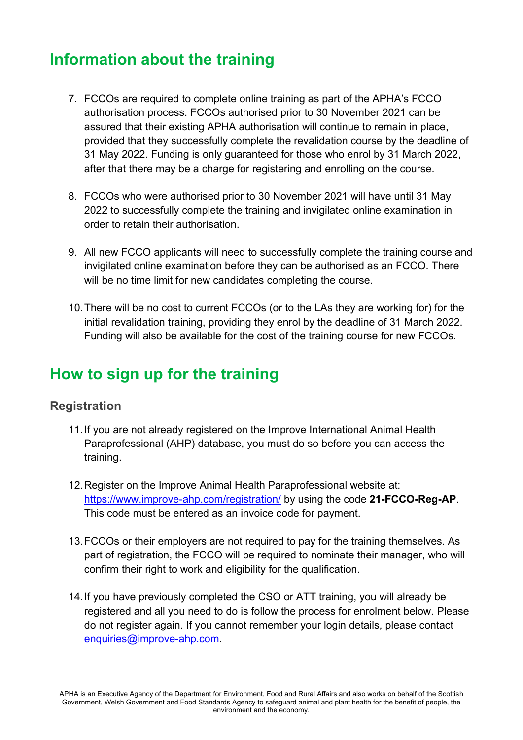### **Information about the training**

- 7. FCCOs are required to complete online training as part of the APHA's FCCO authorisation process. FCCOs authorised prior to 30 November 2021 can be assured that their existing APHA authorisation will continue to remain in place, provided that they successfully complete the revalidation course by the deadline of 31 May 2022. Funding is only guaranteed for those who enrol by 31 March 2022, after that there may be a charge for registering and enrolling on the course.
- 8. FCCOs who were authorised prior to 30 November 2021 will have until 31 May 2022 to successfully complete the training and invigilated online examination in order to retain their authorisation.
- 9. All new FCCO applicants will need to successfully complete the training course and invigilated online examination before they can be authorised as an FCCO. There will be no time limit for new candidates completing the course.
- 10.There will be no cost to current FCCOs (or to the LAs they are working for) for the initial revalidation training, providing they enrol by the deadline of 31 March 2022. Funding will also be available for the cost of the training course for new FCCOs.

### **How to sign up for the training**

#### **Registration**

- 11.If you are not already registered on the Improve International Animal Health Paraprofessional (AHP) database, you must do so before you can access the training.
- 12.Register on the Improve Animal Health Paraprofessional website at: <https://www.improve-ahp.com/registration/> by using the code **21-FCCO-Reg-AP**. This code must be entered as an invoice code for payment.
- 13.FCCOs or their employers are not required to pay for the training themselves. As part of registration, the FCCO will be required to nominate their manager, who will confirm their right to work and eligibility for the qualification.
- 14.If you have previously completed the CSO or ATT training, you will already be registered and all you need to do is follow the process for enrolment below. Please do not register again. If you cannot remember your login details, please contact [enquiries@improve-ahp.com.](mailto:enquiries@improve-ahp.com)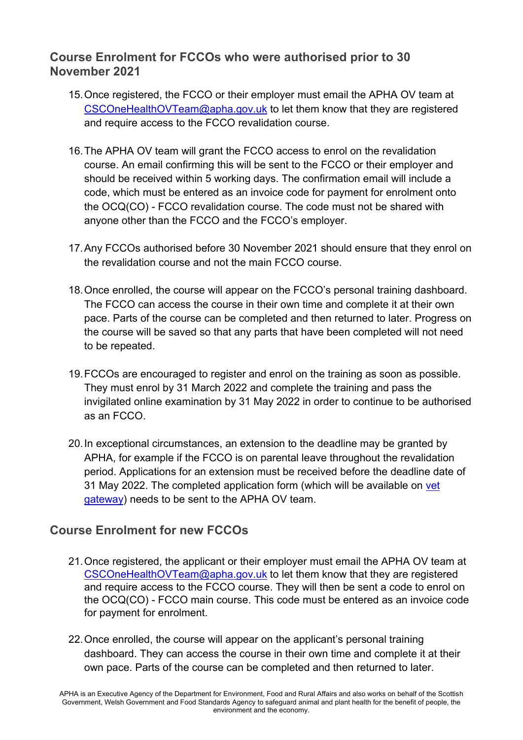#### **Course Enrolment for FCCOs who were authorised prior to 30 November 2021**

- 15.Once registered, the FCCO or their employer must email the APHA OV team at [CSCOneHealthOVTeam@apha.gov.uk](mailto:CSCOneHealthOVTeam@apha.gov.uk) to let them know that they are registered and require access to the FCCO revalidation course.
- 16.The APHA OV team will grant the FCCO access to enrol on the revalidation course. An email confirming this will be sent to the FCCO or their employer and should be received within 5 working days. The confirmation email will include a code, which must be entered as an invoice code for payment for enrolment onto the OCQ(CO) - FCCO revalidation course. The code must not be shared with anyone other than the FCCO and the FCCO's employer.
- 17.Any FCCOs authorised before 30 November 2021 should ensure that they enrol on the revalidation course and not the main FCCO course.
- 18.Once enrolled, the course will appear on the FCCO's personal training dashboard. The FCCO can access the course in their own time and complete it at their own pace. Parts of the course can be completed and then returned to later. Progress on the course will be saved so that any parts that have been completed will not need to be repeated.
- 19.FCCOs are encouraged to register and enrol on the training as soon as possible. They must enrol by 31 March 2022 and complete the training and pass the invigilated online examination by 31 May 2022 in order to continue to be authorised as an FCCO.
- 20.In exceptional circumstances, an extension to the deadline may be granted by APHA, for example if the FCCO is on parental leave throughout the revalidation period. Applications for an extension must be received before the deadline date of 31 May 2022. The completed application form (which will be available on [vet](http://apha.defra.gov.uk/FCCOs/training.htm)  [gateway\)](http://apha.defra.gov.uk/FCCOs/training.htm) needs to be sent to the APHA OV team.

#### **Course Enrolment for new FCCOs**

- 21.Once registered, the applicant or their employer must email the APHA OV team at [CSCOneHealthOVTeam@apha.gov.uk](mailto:CSCOneHealthOVTeam@apha.gov.uk) to let them know that they are registered and require access to the FCCO course. They will then be sent a code to enrol on the OCQ(CO) - FCCO main course. This code must be entered as an invoice code for payment for enrolment.
- 22.Once enrolled, the course will appear on the applicant's personal training dashboard. They can access the course in their own time and complete it at their own pace. Parts of the course can be completed and then returned to later.